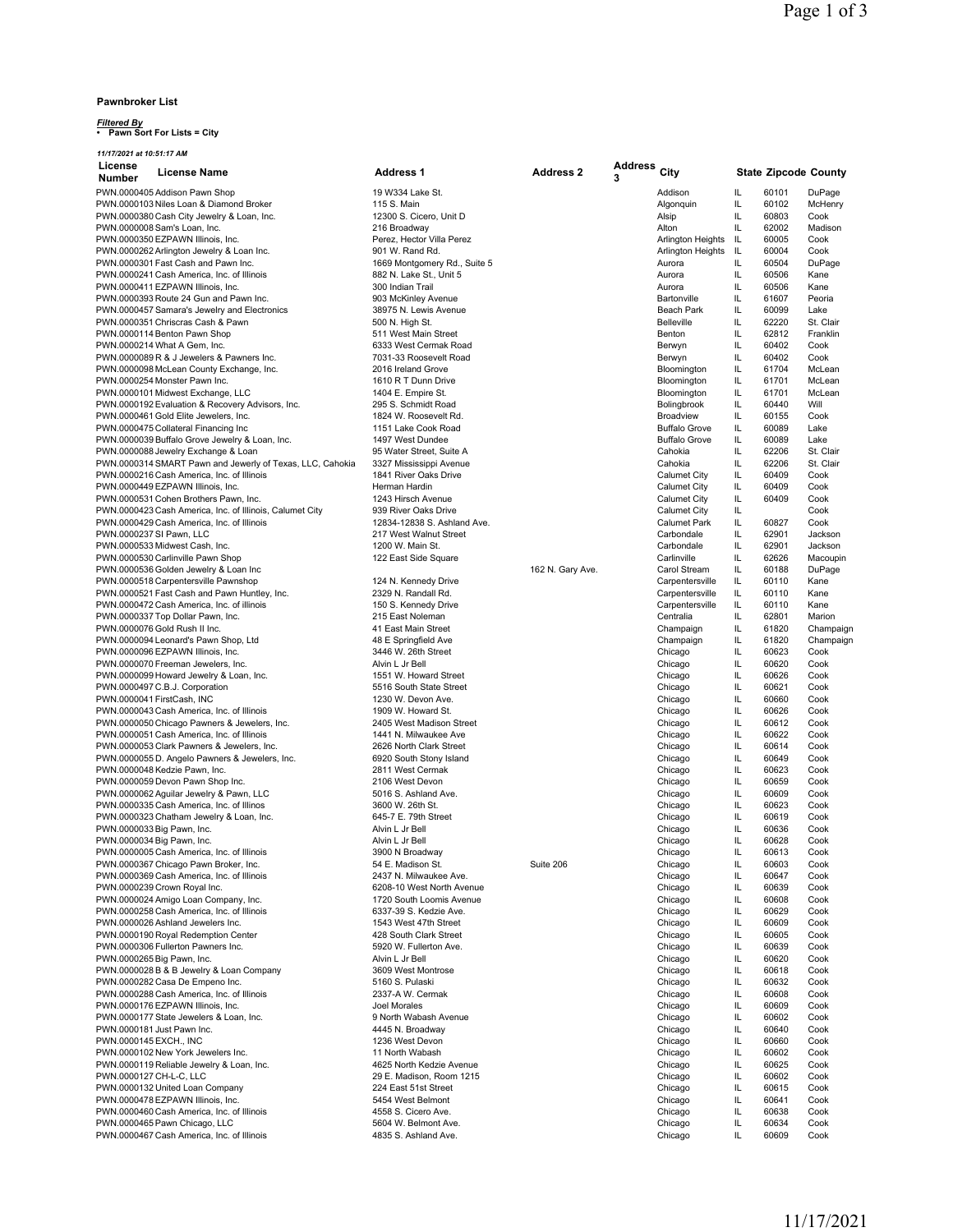### **Pawnbroker List**

### *Filtered By* **• Pawn Sort For Lists = City**

| 11/17/2021 at 10:51:17 AM                                                        |                                              |                  |         |                                 |           |                             |                |  |  |
|----------------------------------------------------------------------------------|----------------------------------------------|------------------|---------|---------------------------------|-----------|-----------------------------|----------------|--|--|
| License<br><b>License Name</b>                                                   | <b>Address 1</b>                             | <b>Address 2</b> | Address | City                            |           | <b>State Zipcode County</b> |                |  |  |
| <b>Number</b>                                                                    |                                              |                  | 3       |                                 |           |                             |                |  |  |
| PWN.0000405 Addison Pawn Shop                                                    | 19 W334 Lake St.                             |                  |         | Addison                         | IL        | 60101                       | DuPage         |  |  |
| PWN.0000103 Niles Loan & Diamond Broker                                          | 115 S. Main                                  |                  |         | Algonquin                       | IL        | 60102                       | McHenry        |  |  |
| PWN.0000380 Cash City Jewelry & Loan, Inc.                                       | 12300 S. Cicero, Unit D                      |                  |         | Alsip                           | IL        | 60803                       | Cook           |  |  |
| PWN.0000008 Sam's Loan, Inc.                                                     | 216 Broadway                                 |                  |         | Alton                           | IL        | 62002                       | Madison        |  |  |
| PWN.0000350 EZPAWN Illinois, Inc.                                                | Perez, Hector Villa Perez<br>901 W. Rand Rd. |                  |         | <b>Arlington Heights</b>        | IL        | 60005                       | Cook           |  |  |
| PWN.0000262 Arlington Jewelry & Loan Inc.<br>PWN.0000301 Fast Cash and Pawn Inc. | 1669 Montgomery Rd., Suite 5                 |                  |         | Arlington Heights               | IL.<br>IL | 60004<br>60504              | Cook<br>DuPage |  |  |
| PWN.0000241 Cash America, Inc. of Illinois                                       | 882 N. Lake St., Unit 5                      |                  |         | Aurora<br>Aurora                | IL        | 60506                       | Kane           |  |  |
| PWN.0000411 EZPAWN Illinois, Inc.                                                | 300 Indian Trail                             |                  |         | Aurora                          | IL        | 60506                       | Kane           |  |  |
| PWN.0000393 Route 24 Gun and Pawn Inc.                                           | 903 McKinley Avenue                          |                  |         | Bartonville                     | IL        | 61607                       | Peoria         |  |  |
| PWN.0000457 Samara's Jewelry and Electronics                                     | 38975 N. Lewis Avenue                        |                  |         | Beach Park                      | IL        | 60099                       | Lake           |  |  |
| PWN.0000351 Chriscras Cash & Pawn                                                | 500 N. High St.                              |                  |         | <b>Belleville</b>               | IL        | 62220                       | St. Clair      |  |  |
| PWN.0000114 Benton Pawn Shop                                                     | 511 West Main Street                         |                  |         | Benton                          | IL        | 62812                       | Franklin       |  |  |
| PWN.0000214 What A Gem, Inc.                                                     | 6333 West Cermak Road                        |                  |         | Berwyn                          | IL        | 60402                       | Cook           |  |  |
| PWN.0000089 R & J Jewelers & Pawners Inc.                                        | 7031-33 Roosevelt Road                       |                  |         | Berwyn                          | IL        | 60402                       | Cook           |  |  |
| PWN.0000098 McLean County Exchange, Inc.                                         | 2016 Ireland Grove                           |                  |         | Bloomington                     | IL        | 61704                       | McLean         |  |  |
| PWN.0000254 Monster Pawn Inc.                                                    | 1610 R T Dunn Drive                          |                  |         | Bloomington                     | IL        | 61701                       | McLean         |  |  |
| PWN.0000101 Midwest Exchange, LLC                                                | 1404 E. Empire St.                           |                  |         | Bloomington                     | IL        | 61701                       | McLean         |  |  |
| PWN.0000192 Evaluation & Recovery Advisors, Inc.                                 | 295 S. Schmidt Road                          |                  |         | Bolingbrook                     | IL        | 60440                       | Will           |  |  |
| PWN.0000461 Gold Elite Jewelers, Inc.                                            | 1824 W. Roosevelt Rd.                        |                  |         | Broadview                       | IL        | 60155                       | Cook           |  |  |
| PWN.0000475 Collateral Financing Inc                                             | 1151 Lake Cook Road                          |                  |         | <b>Buffalo Grove</b>            | IL        | 60089                       | Lake           |  |  |
| PWN.0000039 Buffalo Grove Jewelry & Loan, Inc.                                   | 1497 West Dundee                             |                  |         | <b>Buffalo Grove</b>            | IL        | 60089                       | Lake           |  |  |
| PWN.0000088 Jewelry Exchange & Loan                                              | 95 Water Street, Suite A                     |                  |         | Cahokia                         | IL        | 62206                       | St. Clair      |  |  |
| PWN.0000314 SMART Pawn and Jewerly of Texas, LLC, Cahokia                        | 3327 Mississippi Avenue                      |                  |         | Cahokia                         | IL        | 62206                       | St. Clair      |  |  |
| PWN.0000216 Cash America, Inc. of Illinois                                       | 1841 River Oaks Drive                        |                  |         | Calumet City                    | IL        | 60409                       | Cook           |  |  |
| PWN.0000449 EZPAWN Illinois, Inc.                                                | Herman Hardin                                |                  |         | <b>Calumet City</b>             | IL        | 60409                       | Cook           |  |  |
| PWN.0000531 Cohen Brothers Pawn, Inc.                                            | 1243 Hirsch Avenue                           |                  |         | Calumet City                    | IL        | 60409                       | Cook           |  |  |
| PWN.0000423 Cash America, Inc. of Illinois, Calumet City                         | 939 River Oaks Drive                         |                  |         | <b>Calumet City</b>             | IL        |                             | Cook           |  |  |
| PWN.0000429 Cash America, Inc. of Illinois                                       | 12834-12838 S. Ashland Ave.                  |                  |         | <b>Calumet Park</b>             | IL        | 60827                       | Cook           |  |  |
| PWN.0000237 SI Pawn, LLC                                                         | 217 West Walnut Street                       |                  |         | Carbondale                      | IL        | 62901                       | Jackson        |  |  |
| PWN.0000533 Midwest Cash, Inc.                                                   | 1200 W. Main St.                             |                  |         | Carbondale                      | IL        | 62901                       | Jackson        |  |  |
| PWN.0000530 Carlinville Pawn Shop                                                | 122 East Side Square                         |                  |         | Carlinville                     | IL<br>IL  | 62626                       | Macoupin       |  |  |
| PWN.0000536 Golden Jewelry & Loan Inc<br>PWN.0000518 Carpentersville Pawnshop    | 124 N. Kennedy Drive                         | 162 N. Gary Ave. |         | Carol Stream<br>Carpentersville | IL        | 60188<br>60110              | DuPage<br>Kane |  |  |
| PWN.0000521 Fast Cash and Pawn Huntley, Inc.                                     | 2329 N. Randall Rd.                          |                  |         | Carpentersville                 | IL        | 60110                       | Kane           |  |  |
| PWN.0000472 Cash America, Inc. of illinois                                       | 150 S. Kennedy Drive                         |                  |         | Carpentersville                 | IL        | 60110                       | Kane           |  |  |
| PWN.0000337 Top Dollar Pawn, Inc.                                                | 215 East Noleman                             |                  |         | Centralia                       | IL        | 62801                       | Marion         |  |  |
| PWN.0000076 Gold Rush II Inc.                                                    | 41 East Main Street                          |                  |         | Champaign                       | IL        | 61820                       | Champaign      |  |  |
| PWN.0000094 Leonard's Pawn Shop, Ltd                                             | 48 E Springfield Ave                         |                  |         | Champaign                       | IL        | 61820                       | Champaign      |  |  |
| PWN.0000096 EZPAWN Illinois, Inc.                                                | 3446 W. 26th Street                          |                  |         | Chicago                         | IL        | 60623                       | Cook           |  |  |
| PWN.0000070 Freeman Jewelers, Inc.                                               | Alvin L Jr Bell                              |                  |         | Chicago                         | IL        | 60620                       | Cook           |  |  |
| PWN.0000099 Howard Jewelry & Loan, Inc.                                          | 1551 W. Howard Street                        |                  |         | Chicago                         | IL        | 60626                       | Cook           |  |  |
| PWN.0000497 C.B.J. Corporation                                                   | 5516 South State Street                      |                  |         | Chicago                         | IL        | 60621                       | Cook           |  |  |
| PWN.0000041 FirstCash, INC                                                       | 1230 W. Devon Ave.                           |                  |         | Chicago                         | IL        | 60660                       | Cook           |  |  |
| PWN.0000043 Cash America, Inc. of Illinois                                       | 1909 W. Howard St.                           |                  |         | Chicago                         | IL        | 60626                       | Cook           |  |  |
| PWN.0000050 Chicago Pawners & Jewelers, Inc.                                     | 2405 West Madison Street                     |                  |         | Chicago                         | IL        | 60612                       | Cook           |  |  |
| PWN.0000051 Cash America, Inc. of Illinois                                       | 1441 N. Milwaukee Ave                        |                  |         | Chicago                         | IL        | 60622                       | Cook           |  |  |
| PWN.0000053 Clark Pawners & Jewelers, Inc.                                       | 2626 North Clark Street                      |                  |         | Chicago                         | IL        | 60614                       | Cook           |  |  |
| PWN.0000055 D. Angelo Pawners & Jewelers, Inc.                                   | 6920 South Stony Island                      |                  |         | Chicago                         | IL        | 60649                       | Cook           |  |  |
| PWN.0000048 Kedzie Pawn, Inc.                                                    | 2811 West Cermak                             |                  |         | Chicago                         | IL        | 60623                       | Cook           |  |  |
| PWN.0000059 Devon Pawn Shop Inc.                                                 | 2106 West Devon                              |                  |         | Chicago                         | IL        | 60659                       | Cook           |  |  |
| PWN.0000062 Aguilar Jewelry & Pawn, LLC                                          | 5016 S. Ashland Ave.                         |                  |         | Chicago                         | IL        | 60609                       | Cook           |  |  |
| PWN.0000335 Cash America, Inc. of Illinos                                        | 3600 W. 26th St.                             |                  |         | Chicago                         | IL        | 60623                       | Cook           |  |  |
| PWN.0000323 Chatham Jewelry & Loan, Inc.                                         | 645-7 E. 79th Street                         |                  |         | Chicago                         | IL        | 60619                       | Cook           |  |  |
| PWN.0000033 Big Pawn, Inc.                                                       | Alvin L Jr Bell<br>Alvin L Jr Bell           |                  |         | Chicago<br>Chicago              | IL<br>IL  | 60636<br>60628              | Cook<br>Cook   |  |  |
| PWN.0000034 Big Pawn, Inc.<br>PWN.0000005 Cash America, Inc. of Illinois         | 3900 N Broadway                              |                  |         | Chicago                         | IL        | 60613                       | Cook           |  |  |
| PWN.0000367 Chicago Pawn Broker, Inc.                                            | 54 E. Madison St.                            | Suite 206        |         | Chicago                         | IL        | 60603                       | Cook           |  |  |
| PWN.0000369 Cash America, Inc. of Illinois                                       | 2437 N. Milwaukee Ave.                       |                  |         | Chicago                         | IL        | 60647                       | Cook           |  |  |
| PWN.0000239 Crown Royal Inc.                                                     | 6208-10 West North Avenue                    |                  |         | Chicago                         | IL        | 60639                       | Cook           |  |  |
| PWN.0000024 Amigo Loan Company, Inc.                                             | 1720 South Loomis Avenue                     |                  |         | Chicago                         | IL        | 60608                       | Cook           |  |  |
| PWN.0000258 Cash America. Inc. of Illinois                                       | 6337-39 S. Kedzie Ave.                       |                  |         | Chicago                         | IL        | 60629                       | Cook           |  |  |
| PWN.0000026 Ashland Jewelers Inc.                                                | 1543 West 47th Street                        |                  |         | Chicago                         | IL        | 60609                       | Cook           |  |  |
| PWN.0000190 Royal Redemption Center                                              | 428 South Clark Street                       |                  |         | Chicago                         | IL        | 60605                       | Cook           |  |  |
| PWN.0000306 Fullerton Pawners Inc.                                               | 5920 W. Fullerton Ave.                       |                  |         | Chicago                         | IL        | 60639                       | Cook           |  |  |
| PWN.0000265 Big Pawn, Inc.                                                       | Alvin L Jr Bell                              |                  |         | Chicago                         | IL        | 60620                       | Cook           |  |  |
| PWN.0000028 B & B Jewelry & Loan Company                                         | 3609 West Montrose                           |                  |         | Chicago                         | IL        | 60618                       | Cook           |  |  |
| PWN.0000282 Casa De Empeno Inc.                                                  | 5160 S. Pulaski                              |                  |         | Chicago                         | IL        | 60632                       | Cook           |  |  |
| PWN.0000288 Cash America, Inc. of Illinois                                       | 2337-A W. Cermak                             |                  |         | Chicago                         | IL        | 60608                       | Cook           |  |  |
| PWN.0000176 EZPAWN Illinois, Inc.                                                | Joel Morales                                 |                  |         | Chicago                         | IL        | 60609                       | Cook           |  |  |
| PWN.0000177 State Jewelers & Loan, Inc.                                          | 9 North Wabash Avenue                        |                  |         | Chicago                         | IL        | 60602                       | Cook           |  |  |
| PWN.0000181 Just Pawn Inc.                                                       | 4445 N. Broadway                             |                  |         | Chicago                         | IL        | 60640                       | Cook           |  |  |
| PWN.0000145 EXCH., INC                                                           | 1236 West Devon                              |                  |         | Chicago                         | IL        | 60660                       | Cook           |  |  |
| PWN.0000102 New York Jewelers Inc.                                               | 11 North Wabash                              |                  |         | Chicago                         | IL        | 60602                       | Cook           |  |  |
| PWN.0000119 Reliable Jewelry & Loan, Inc.                                        | 4625 North Kedzie Avenue                     |                  |         | Chicago                         | IL        | 60625                       | Cook           |  |  |
| PWN.0000127 CH-L-C, LLC                                                          | 29 E. Madison, Room 1215                     |                  |         | Chicago                         | IL        | 60602                       | Cook           |  |  |
| PWN.0000132 United Loan Company                                                  | 224 East 51st Street                         |                  |         | Chicago                         | IL        | 60615                       | Cook           |  |  |
| PWN.0000478 EZPAWN Illinois, Inc.                                                | 5454 West Belmont                            |                  |         | Chicago                         | IL        | 60641                       | Cook           |  |  |
| PWN.0000460 Cash America, Inc. of Illinois                                       | 4558 S. Cicero Ave.                          |                  |         | Chicago                         | IL        | 60638                       | Cook           |  |  |
| PWN.0000465 Pawn Chicago, LLC<br>PWN.0000467 Cash America, Inc. of Illinois      | 5604 W. Belmont Ave.<br>4835 S. Ashland Ave. |                  |         | Chicago<br>Chicago              | IL<br>IL  | 60634<br>60609              | Cook<br>Cook   |  |  |
|                                                                                  |                                              |                  |         |                                 |           |                             |                |  |  |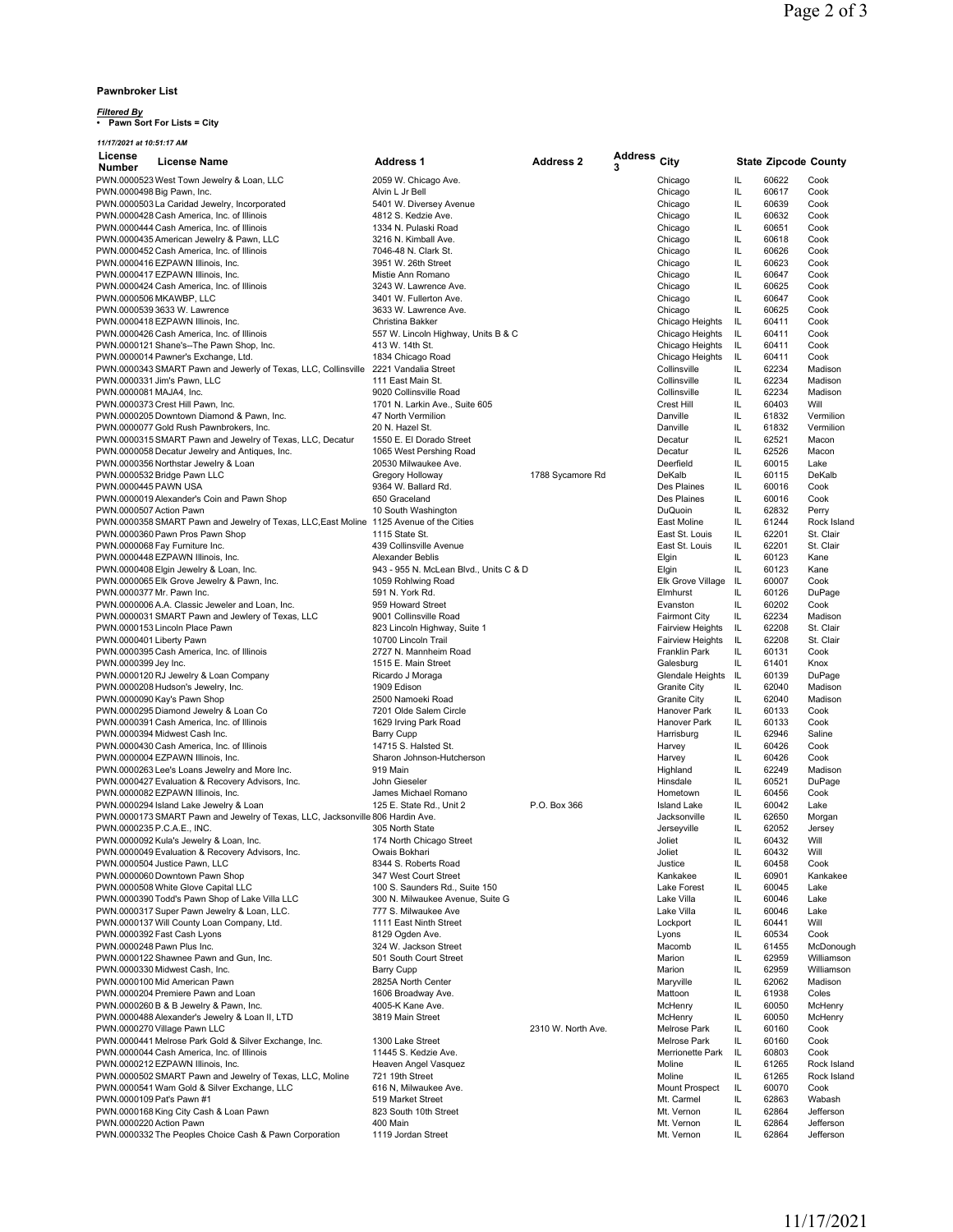#### **Pawnbroker List**

## *Filtered By* **• Pawn Sort For Lists = City**

*11/17/2021 at 10:51:17 AM*

| License                        | <b>License Name</b>                                                                     | <b>Address 1</b>                            | <b>Address 2</b>   | <b>Address</b> | City                    |          | <b>State Zipcode County</b> |                |
|--------------------------------|-----------------------------------------------------------------------------------------|---------------------------------------------|--------------------|----------------|-------------------------|----------|-----------------------------|----------------|
| Number                         |                                                                                         |                                             |                    | 3              |                         |          |                             |                |
|                                | PWN.0000523 West Town Jewelry & Loan, LLC                                               | 2059 W. Chicago Ave.                        |                    |                | Chicago                 | IL       | 60622                       | Cook           |
| PWN.0000498 Big Pawn, Inc.     |                                                                                         | Alvin L Jr Bell                             |                    |                | Chicago                 | IL       | 60617                       | Cook           |
|                                | PWN.0000503 La Caridad Jewelry, Incorporated                                            | 5401 W. Diversey Avenue                     |                    |                | Chicago                 | IL       | 60639                       | Cook           |
|                                | PWN.0000428 Cash America, Inc. of Illinois                                              | 4812 S. Kedzie Ave.                         |                    |                | Chicago                 | IL       | 60632                       | Cook           |
|                                | PWN.0000444 Cash America. Inc. of Illinois                                              | 1334 N. Pulaski Road                        |                    |                | Chicago                 | IL       | 60651                       | Cook           |
|                                | PWN.0000435 American Jewelry & Pawn, LLC                                                | 3216 N. Kimball Ave.                        |                    |                | Chicago                 | IL       | 60618                       | Cook           |
|                                | PWN.0000452 Cash America, Inc. of Illinois                                              | 7046-48 N. Clark St.<br>3951 W. 26th Street |                    |                | Chicago                 | IL<br>IL | 60626<br>60623              | Cook           |
|                                | PWN.0000416 EZPAWN Illinois, Inc.<br>PWN.0000417 EZPAWN Illinois, Inc.                  | Mistie Ann Romano                           |                    |                | Chicago<br>Chicago      | IL       | 60647                       | Cook<br>Cook   |
|                                | PWN.0000424 Cash America, Inc. of Illinois                                              | 3243 W. Lawrence Ave.                       |                    |                | Chicago                 | IL       | 60625                       | Cook           |
| PWN.0000506 MKAWBP, LLC        |                                                                                         | 3401 W. Fullerton Ave.                      |                    |                | Chicago                 | IL       | 60647                       | Cook           |
|                                | PWN.0000539 3633 W. Lawrence                                                            | 3633 W. Lawrence Ave.                       |                    |                | Chicago                 | IL       | 60625                       | Cook           |
|                                | PWN.0000418 EZPAWN Illinois, Inc.                                                       | Christina Bakker                            |                    |                | Chicago Heights         | IL       | 60411                       | Cook           |
|                                | PWN.0000426 Cash America, Inc. of Illinois                                              | 557 W. Lincoln Highway, Units B & C         |                    |                | Chicago Heights         | IL       | 60411                       | Cook           |
|                                | PWN.0000121 Shane's--The Pawn Shop, Inc.                                                | 413 W. 14th St.                             |                    |                | Chicago Heights         | IL       | 60411                       | Cook           |
|                                | PWN.0000014 Pawner's Exchange, Ltd.                                                     | 1834 Chicago Road                           |                    |                | Chicago Heights         | IL       | 60411                       | Cook           |
|                                | PWN.0000343 SMART Pawn and Jewerly of Texas, LLC, Collinsville 2221 Vandalia Street     |                                             |                    |                | Collinsville            | IL       | 62234                       | Madison        |
| PWN.0000331 Jim's Pawn, LLC    |                                                                                         | 111 East Main St.                           |                    |                | Collinsville            | IL       | 62234                       | Madison        |
| PWN.0000081 MAJA4, Inc.        |                                                                                         | 9020 Collinsville Road                      |                    |                | Collinsville            | IL       | 62234                       | Madison        |
|                                | PWN.0000373 Crest Hill Pawn, Inc.                                                       | 1701 N. Larkin Ave., Suite 605              |                    |                | Crest Hill              | IL       | 60403                       | Will           |
|                                | PWN.0000205 Downtown Diamond & Pawn, Inc.                                               | 47 North Vermilion                          |                    |                | Danville                | IL       | 61832                       | Vermilion      |
|                                | PWN.0000077 Gold Rush Pawnbrokers, Inc.                                                 | 20 N. Hazel St.                             |                    |                | Danville                | IL       | 61832                       | Vermilion      |
|                                | PWN.0000315 SMART Pawn and Jewelry of Texas, LLC, Decatur                               | 1550 E. El Dorado Street                    |                    |                | Decatur                 | IL       | 62521                       | Macon          |
|                                | PWN.0000058 Decatur Jewelry and Antiques, Inc.                                          | 1065 West Pershing Road                     |                    |                | Decatur                 | IL       | 62526                       | Macon          |
|                                | PWN.0000356 Northstar Jewelry & Loan                                                    | 20530 Milwaukee Ave.                        |                    |                | Deerfield               | IL       | 60015                       | Lake           |
| PWN.0000532 Bridge Pawn LLC    |                                                                                         | Gregory Holloway                            | 1788 Sycamore Rd   |                | DeKalb                  | IL       | 60115                       | DeKalb         |
| PWN.0000445 PAWN USA           |                                                                                         | 9364 W. Ballard Rd.                         |                    |                | Des Plaines             | IL       | 60016                       | Cook           |
|                                | PWN.0000019 Alexander's Coin and Pawn Shop                                              | 650 Graceland                               |                    |                | Des Plaines             | IL       | 60016                       | Cook           |
| PWN.0000507 Action Pawn        |                                                                                         | 10 South Washington                         |                    |                | DuQuoin                 | IL       | 62832                       | Perry          |
|                                | PWN.0000358 SMART Pawn and Jewelry of Texas, LLC, East Moline 1125 Avenue of the Cities |                                             |                    |                | East Moline             | IL       | 61244                       | Rock Island    |
|                                | PWN.0000360 Pawn Pros Pawn Shop                                                         | 1115 State St.                              |                    |                | East St. Louis          | IL       | 62201                       | St. Clair      |
| PWN.0000068 Fay Furniture Inc. |                                                                                         | 439 Collinsville Avenue                     |                    |                | East St. Louis          | IL       | 62201                       | St. Clair      |
|                                | PWN.0000448 EZPAWN Illinois, Inc.                                                       | Alexander Beblis                            |                    |                | Elgin                   | IL       | 60123                       | Kane           |
|                                | PWN.0000408 Elgin Jewelry & Loan, Inc.                                                  | 943 - 955 N. McLean Blvd., Units C & D      |                    |                | Elgin                   | IL       | 60123                       | Kane           |
| PWN.0000377 Mr. Pawn Inc.      | PWN.0000065 Elk Grove Jewelry & Pawn, Inc.                                              | 1059 Rohlwing Road                          |                    |                | Elk Grove Village       | IL<br>IL | 60007                       | Cook           |
|                                | PWN.0000006 A.A. Classic Jeweler and Loan, Inc.                                         | 591 N. York Rd.<br>959 Howard Street        |                    |                | Elmhurst<br>Evanston    | IL       | 60126<br>60202              | DuPage<br>Cook |
|                                | PWN.0000031 SMART Pawn and Jewlery of Texas, LLC                                        | 9001 Collinsville Road                      |                    |                | <b>Fairmont City</b>    | IL       | 62234                       | Madison        |
|                                | PWN.0000153 Lincoln Place Pawn                                                          | 823 Lincoln Highway, Suite 1                |                    |                | <b>Fairview Heights</b> | IL       | 62208                       | St. Clair      |
| PWN.0000401 Liberty Pawn       |                                                                                         | 10700 Lincoln Trail                         |                    |                | <b>Fairview Heights</b> | IL       | 62208                       | St. Clair      |
|                                | PWN.0000395 Cash America, Inc. of Illinois                                              | 2727 N. Mannheim Road                       |                    |                | <b>Franklin Park</b>    | IL       | 60131                       | Cook           |
| PWN.0000399 Jey Inc.           |                                                                                         | 1515 E. Main Street                         |                    |                | Galesburg               | IL       | 61401                       | Knox           |
|                                | PWN.0000120 RJ Jewelry & Loan Company                                                   | Ricardo J Moraga                            |                    |                | Glendale Heights        | IL       | 60139                       | DuPage         |
|                                | PWN.0000208 Hudson's Jewelry, Inc.                                                      | 1909 Edison                                 |                    |                | <b>Granite City</b>     | IL       | 62040                       | Madison        |
| PWN.0000090 Kay's Pawn Shop    |                                                                                         | 2500 Namoeki Road                           |                    |                | <b>Granite City</b>     | IL       | 62040                       | Madison        |
|                                | PWN.0000295 Diamond Jewelry & Loan Co                                                   | 7201 Olde Salem Circle                      |                    |                | Hanover Park            | IL       | 60133                       | Cook           |
|                                | PWN.0000391 Cash America, Inc. of Illinois                                              | 1629 Irving Park Road                       |                    |                | Hanover Park            | IL       | 60133                       | Cook           |
|                                | PWN.0000394 Midwest Cash Inc.                                                           | <b>Barry Cupp</b>                           |                    |                | Harrisburg              | IL       | 62946                       | Saline         |
|                                | PWN.0000430 Cash America, Inc. of Illinois                                              | 14715 S. Halsted St.                        |                    |                | Harvey                  | IL       | 60426                       | Cook           |
|                                | PWN.0000004 EZPAWN Illinois, Inc.                                                       | Sharon Johnson-Hutcherson                   |                    |                | Harvey                  | IL       | 60426                       | Cook           |
|                                | PWN.0000263 Lee's Loans Jewelry and More Inc.                                           | 919 Main                                    |                    |                | Highland                | IL       | 62249                       | Madison        |
|                                | PWN.0000427 Evaluation & Recovery Advisors, Inc.                                        | John Gieseler                               |                    |                | Hinsdale                | IL       | 60521                       | DuPage         |
|                                | PWN.0000082 EZPAWN Illinois, Inc.                                                       | James Michael Romano                        |                    |                | Hometown                | IL       | 60456                       | Cook           |
|                                | PWN.0000294 Island Lake Jewelry & Loan                                                  | 125 E. State Rd., Unit 2                    | P.O. Box 366       |                | <b>Island Lake</b>      | IL       | 60042                       | Lake           |
|                                | PWN.0000173 SMART Pawn and Jewelry of Texas, LLC, Jacksonville 806 Hardin Ave.          |                                             |                    |                | Jacksonville            | IL       | 62650                       | Morgan         |
| PWN.0000235 P.C.A.E., INC.     |                                                                                         | 305 North State                             |                    |                | Jerseyville             | IL       | 62052                       | Jersey         |
|                                | PWN.0000092 Kula's Jewelry & Loan, Inc.                                                 | 174 North Chicago Street                    |                    |                | Joliet                  | IL<br>IL | 60432<br>60432              | Will<br>Will   |
|                                | PWN.0000049 Evaluation & Recovery Advisors, Inc.                                        | Owais Bokhari<br>8344 S. Roberts Road       |                    |                | Joliet<br>Justice       | IL       | 60458                       | Cook           |
|                                | PWN.0000504 Justice Pawn, LLC<br>PWN.0000060 Downtown Pawn Shop                         | 347 West Court Street                       |                    |                | Kankakee                | IL       | 60901                       | Kankakee       |
|                                | PWN.0000508 White Glove Capital LLC                                                     | 100 S. Saunders Rd., Suite 150              |                    |                | Lake Forest             | IL       | 60045                       | Lake           |
|                                | PWN.0000390 Todd's Pawn Shop of Lake Villa LLC                                          | 300 N. Milwaukee Avenue, Suite G            |                    |                | Lake Villa              | IL       | 60046                       | Lake           |
|                                | PWN.0000317 Super Pawn Jewelry & Loan, LLC.                                             | 777 S. Milwaukee Ave                        |                    |                | Lake Villa              | IL       | 60046                       | Lake           |
|                                | PWN.0000137 Will County Loan Company, Ltd.                                              | 1111 East Ninth Street                      |                    |                | Lockport                | IL.      | 60441                       | Will           |
| PWN.0000392 Fast Cash Lyons    |                                                                                         | 8129 Ogden Ave.                             |                    |                | Lyons                   | IL       | 60534                       | Cook           |
| PWN.0000248 Pawn Plus Inc.     |                                                                                         | 324 W. Jackson Street                       |                    |                | Macomb                  | IL.      | 61455                       | McDonough      |
|                                | PWN.0000122 Shawnee Pawn and Gun, Inc.                                                  | 501 South Court Street                      |                    |                | Marion                  | IL       | 62959                       | Williamson     |
|                                | PWN.0000330 Midwest Cash, Inc.                                                          | <b>Barry Cupp</b>                           |                    |                | Marion                  | IL.      | 62959                       | Williamson     |
|                                | PWN.0000100 Mid American Pawn                                                           | 2825A North Center                          |                    |                | Maryville               | IL       | 62062                       | Madison        |
|                                | PWN.0000204 Premiere Pawn and Loan                                                      | 1606 Broadway Ave.                          |                    |                | Mattoon                 | IL       | 61938                       | Coles          |
|                                | PWN.0000260 B & B Jewelry & Pawn, Inc.                                                  | 4005-K Kane Ave.                            |                    |                | McHenry                 | IL       | 60050                       | McHenry        |
|                                | PWN.0000488 Alexander's Jewelry & Loan II, LTD                                          | 3819 Main Street                            |                    |                | McHenry                 | IL       | 60050                       | McHenry        |
| PWN.0000270 Village Pawn LLC   |                                                                                         |                                             | 2310 W. North Ave. |                | Melrose Park            | IL       | 60160                       | Cook           |
|                                | PWN.0000441 Melrose Park Gold & Silver Exchange, Inc.                                   | 1300 Lake Street                            |                    |                | Melrose Park            | IL       | 60160                       | Cook           |
|                                | PWN.0000044 Cash America, Inc. of Illinois                                              | 11445 S. Kedzie Ave.                        |                    |                | Merrionette Park        | IL       | 60803                       | Cook           |
|                                | PWN.0000212 EZPAWN Illinois, Inc.                                                       | Heaven Angel Vasquez                        |                    |                | Moline                  | IL       | 61265                       | Rock Island    |
|                                | PWN.0000502 SMART Pawn and Jewelry of Texas, LLC, Moline                                | 721 19th Street                             |                    |                | Moline                  | IL       | 61265                       | Rock Island    |
|                                | PWN.0000541 Wam Gold & Silver Exchange, LLC                                             | 616 N, Milwaukee Ave.                       |                    |                | <b>Mount Prospect</b>   | IL       | 60070                       | Cook           |
| PWN.0000109 Pat's Pawn #1      |                                                                                         | 519 Market Street                           |                    |                | Mt. Carmel              | IL       | 62863                       | Wabash         |
|                                | PWN.0000168 King City Cash & Loan Pawn                                                  | 823 South 10th Street                       |                    |                | Mt. Vernon              | IL       | 62864                       | Jefferson      |
| PWN.0000220 Action Pawn        |                                                                                         | 400 Main                                    |                    |                | Mt. Vernon              | IL       | 62864                       | Jefferson      |
|                                | PWN.0000332 The Peoples Choice Cash & Pawn Corporation                                  | 1119 Jordan Street                          |                    |                | Mt. Vernon              | IL       | 62864                       | Jefferson      |